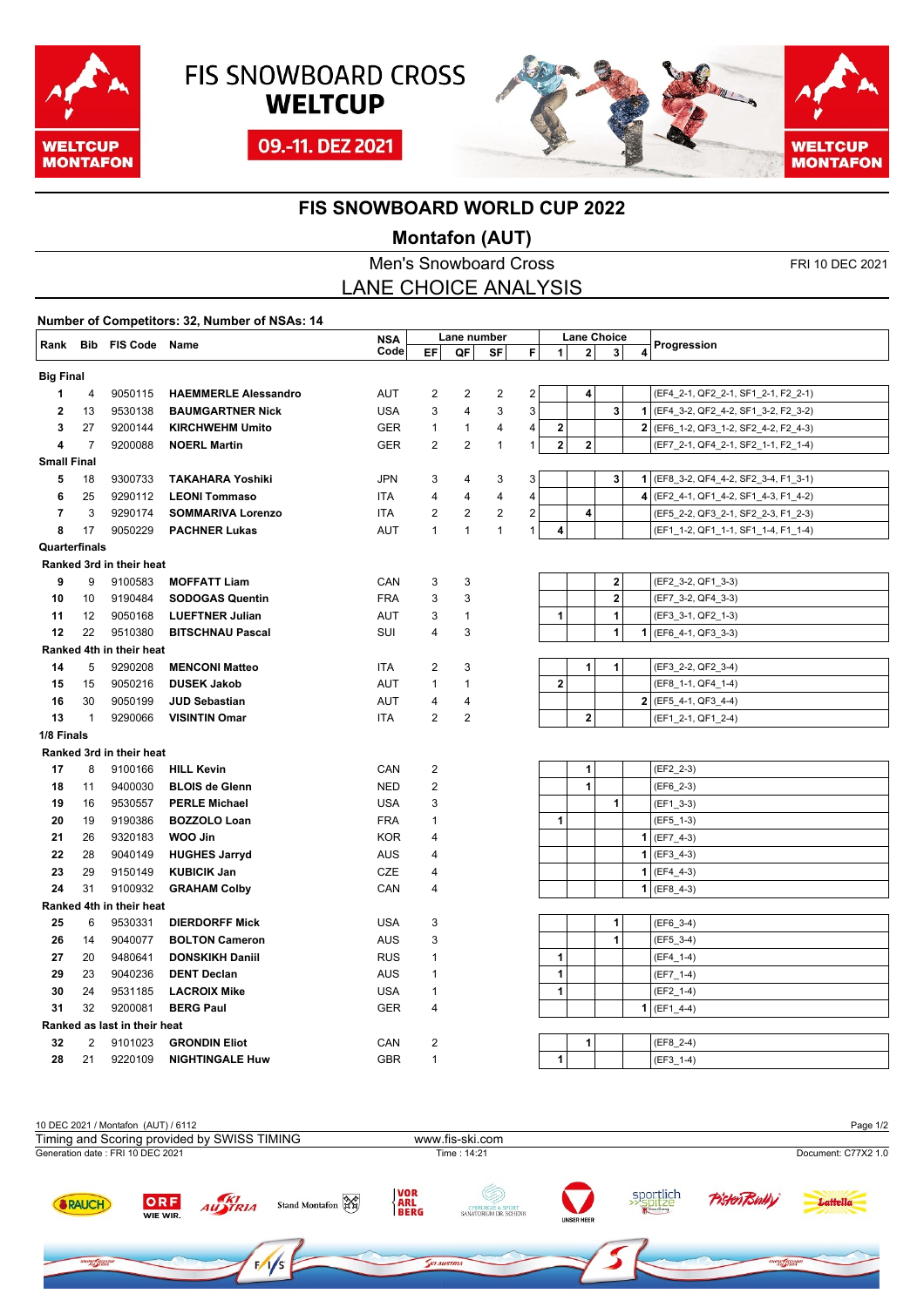

## **FIS SNOWBOARD CROSS WELTCUP**

09.-11. DEZ 2021



## **FIS SNOWBOARD WORLD CUP 2022**

## **Montafon (AUT)**

|                                                 |                             |                              |                             |            |                         |                | (NORTATOR (AUT |                         |                    |          |                         |             |                                       |
|-------------------------------------------------|-----------------------------|------------------------------|-----------------------------|------------|-------------------------|----------------|----------------|-------------------------|--------------------|----------|-------------------------|-------------|---------------------------------------|
| <b>Men's Snowboard Cross</b><br>FRI 10 DEC 2021 |                             |                              |                             |            |                         |                |                |                         |                    |          |                         |             |                                       |
|                                                 | <b>LANE CHOICE ANALYSIS</b> |                              |                             |            |                         |                |                |                         |                    |          |                         |             |                                       |
| Number of Competitors: 32, Number of NSAs: 14   |                             |                              |                             |            |                         |                |                |                         |                    |          |                         |             |                                       |
| Rank                                            | <b>Bib FIS Code Name</b>    |                              |                             | <b>NSA</b> | Lane number             |                |                |                         | <b>Lane Choice</b> |          |                         | Progression |                                       |
|                                                 |                             |                              |                             | Code       | EF                      | QF             | SF             | F                       | 1                  | 2        | 3                       | 4           |                                       |
|                                                 | <b>Big Final</b>            |                              |                             |            |                         |                |                |                         |                    |          |                         |             |                                       |
| 1                                               | 4                           | 9050115                      | <b>HAEMMERLE Alessandro</b> | AUT        | $\overline{c}$          | $\overline{2}$ | $\overline{c}$ | $\overline{\mathbf{c}}$ |                    | 4        |                         |             | (EF4_2-1, QF2_2-1, SF1_2-1, F2_2-1)   |
| 2                                               | 13                          | 9530138                      | <b>BAUMGARTNER Nick</b>     | <b>USA</b> | 3                       | 4              | 3              | 3                       |                    |          | 3                       |             | 1 (EF4_3-2, QF2_4-2, SF1_3-2, F2_3-2) |
| 3                                               | 27                          | 9200144                      | <b>KIRCHWEHM Umito</b>      | GER        | $\mathbf{1}$            | 1              | 4              | 4                       | $\bf{2}$           |          |                         |             | 2 (EF6_1-2, QF3_1-2, SF2_4-2, F2_4-3) |
| 4                                               | 7                           | 9200088                      | <b>NOERL Martin</b>         | GER        | $\overline{2}$          | $\overline{2}$ | $\mathbf{1}$   | $\mathbf{1}$            | $\mathbf 2$        | $\bf{2}$ |                         |             | (EF7_2-1, QF4_2-1, SF2_1-1, F2_1-4)   |
| <b>Small Final</b>                              |                             |                              |                             |            |                         |                |                |                         |                    |          |                         |             |                                       |
| 5                                               | 18                          | 9300733                      | <b>TAKAHARA Yoshiki</b>     | JPN        | 3                       | 4              | 3              | 3                       |                    |          | 3                       |             | 1 (EF8_3-2, QF4_4-2, SF2_3-4, F1_3-1) |
| 6                                               | 25                          | 9290112                      | <b>LEONI Tommaso</b>        | ITA        | 4                       | 4              | 4              | 4                       |                    |          |                         |             | 4 (EF2_4-1, QF1_4-2, SF1_4-3, F1_4-2) |
| $\overline{7}$                                  | 3                           | 9290174                      | <b>SOMMARIVA Lorenzo</b>    | ITA        | $\overline{c}$          | $\overline{2}$ | $\overline{c}$ | 2                       |                    | 4        |                         |             | (EF5_2-2, QF3_2-1, SF2_2-3, F1_2-3)   |
| 8                                               | 17                          | 9050229                      | <b>PACHNER Lukas</b>        | AUT        | $\mathbf{1}$            | $\mathbf{1}$   | $\mathbf{1}$   | $\mathbf{1}$            | 4                  |          |                         |             | (EF1_1-2, QF1_1-1, SF1_1-4, F1_1-4)   |
| Quarterfinals                                   |                             |                              |                             |            |                         |                |                |                         |                    |          |                         |             |                                       |
|                                                 |                             | Ranked 3rd in their heat     |                             |            |                         |                |                |                         |                    |          |                         |             |                                       |
| 9                                               | 9                           | 9100583                      | <b>MOFFATT Liam</b>         | CAN        | 3                       | 3              |                |                         |                    |          | 2                       |             | (EF2_3-2, QF1_3-3)                    |
| 10                                              | 10                          | 9190484                      | <b>SODOGAS Quentin</b>      | <b>FRA</b> | 3                       | 3              |                |                         |                    |          | $\overline{\mathbf{2}}$ |             | (EF7_3-2, QF4_3-3)                    |
| 11                                              | 12                          | 9050168                      | <b>LUEFTNER Julian</b>      | AUT        | 3                       | 1              |                |                         | 1                  |          | 1                       |             | (EF3_3-1, QF2_1-3)                    |
| 12                                              | 22                          | 9510380                      | <b>BITSCHNAU Pascal</b>     | SUI        | 4                       | 3              |                |                         |                    |          | 1                       |             | 1 (EF6_4-1, QF3_3-3)                  |
|                                                 |                             | Ranked 4th in their heat     |                             |            |                         |                |                |                         |                    |          |                         |             |                                       |
| 14                                              | 5                           | 9290208                      | <b>MENCONI Matteo</b>       | ITA        | $\overline{c}$          | 3              |                |                         |                    | 1        | 1                       |             | (EF3_2-2, QF2_3-4)                    |
| 15                                              | 15                          | 9050216                      | <b>DUSEK Jakob</b>          | AUT        | $\mathbf{1}$            | $\mathbf{1}$   |                |                         | $\mathbf 2$        |          |                         |             | (EF8_1-1, QF4_1-4)                    |
| 16                                              | 30                          | 9050199                      | <b>JUD Sebastian</b>        | AUT        | 4                       | 4              |                |                         |                    |          |                         |             | $2$ (EF5_4-1, QF3_4-4)                |
| 13                                              | $\mathbf{1}$                | 9290066                      | <b>VISINTIN Omar</b>        | ITA        | $\overline{2}$          | $\overline{c}$ |                |                         |                    | $\bf 2$  |                         |             | (EF1_2-1, QF1_2-4)                    |
| 1/8 Finals                                      |                             |                              |                             |            |                         |                |                |                         |                    |          |                         |             |                                       |
|                                                 |                             | Ranked 3rd in their heat     |                             |            |                         |                |                |                         |                    |          |                         |             |                                       |
| 17                                              | 8                           | 9100166                      | <b>HILL Kevin</b>           | CAN        | 2                       |                |                |                         |                    | 1        |                         |             | (EF2_2-3)                             |
| 18                                              | 11                          | 9400030                      | <b>BLOIS de Glenn</b>       | <b>NED</b> | 2                       |                |                |                         |                    | 1        |                         |             | $(EF6_2-3)$                           |
| 19                                              | 16                          | 9530557                      | <b>PERLE Michael</b>        | <b>USA</b> | 3                       |                |                |                         |                    |          | 1                       |             | (EF1_3-3)                             |
| 20                                              | 19                          | 9190386                      | <b>BOZZOLO Loan</b>         | <b>FRA</b> | 1                       |                |                |                         | 1                  |          |                         |             | (EF5_1-3)                             |
| 21                                              | 26                          | 9320183                      | WOO Jin                     | <b>KOR</b> | 4                       |                |                |                         |                    |          |                         |             | $1$ (EF7_4-3)                         |
| 22                                              | 28                          | 9040149                      | <b>HUGHES Jarryd</b>        | AUS        | 4                       |                |                |                         |                    |          |                         | 1           | $(EF3_4-3)$                           |
| 23                                              | 29                          | 9150149                      | <b>KUBICIK Jan</b>          | CZE        | 4                       |                |                |                         |                    |          |                         |             | $1$ (EF4_4-3)                         |
| 24                                              | 31                          | 9100932                      | <b>GRAHAM Colby</b>         | CAN        | 4                       |                |                |                         |                    |          |                         |             | $1$ (EF8_4-3)                         |
|                                                 | Ranked 4th in their heat    |                              |                             |            |                         |                |                |                         |                    |          |                         |             |                                       |
| 25                                              | 6                           | 9530331                      | <b>DIERDORFF Mick</b>       | <b>USA</b> | 3                       |                |                |                         |                    |          | 1                       |             | (EF6_3-4)                             |
| 26                                              | 14                          | 9040077                      | <b>BOLTON Cameron</b>       | AUS        | 3                       |                |                |                         |                    |          | $\mathbf{1}$            |             | (EF5_3-4)                             |
| 27                                              | 20                          | 9480641                      | <b>DONSKIKH Daniil</b>      | <b>RUS</b> | 1                       |                |                |                         | 1                  |          |                         |             | $(EF4_1-1-4)$                         |
| 29                                              | 23                          | 9040236                      | <b>DENT Declan</b>          | AUS        | 1                       |                |                |                         | 1                  |          |                         |             | (EF7 1-4)                             |
| 30                                              | 24                          | 9531185                      | <b>LACROIX Mike</b>         | <b>USA</b> | 1                       |                |                |                         | 1                  |          |                         |             | (EF2_1-4)                             |
| 31                                              | 32                          | 9200081                      | <b>BERG Paul</b>            | GER        | 4                       |                |                |                         |                    |          |                         |             | $1$ (EF1_4-4)                         |
|                                                 |                             | Ranked as last in their heat |                             |            |                         |                |                |                         |                    |          |                         |             |                                       |
| 32                                              | 2                           | 9101023                      | <b>GRONDIN Eliot</b>        | CAN        | $\overline{\mathbf{c}}$ |                |                |                         |                    | 1        |                         |             | (EF8_2-4)                             |
| 28                                              | 21                          | 9220109                      | <b>NIGHTINGALE Huw</b>      | <b>GBR</b> | $\mathbf{1}$            |                |                |                         | 1                  |          |                         |             | $(EF3_1-4)$                           |